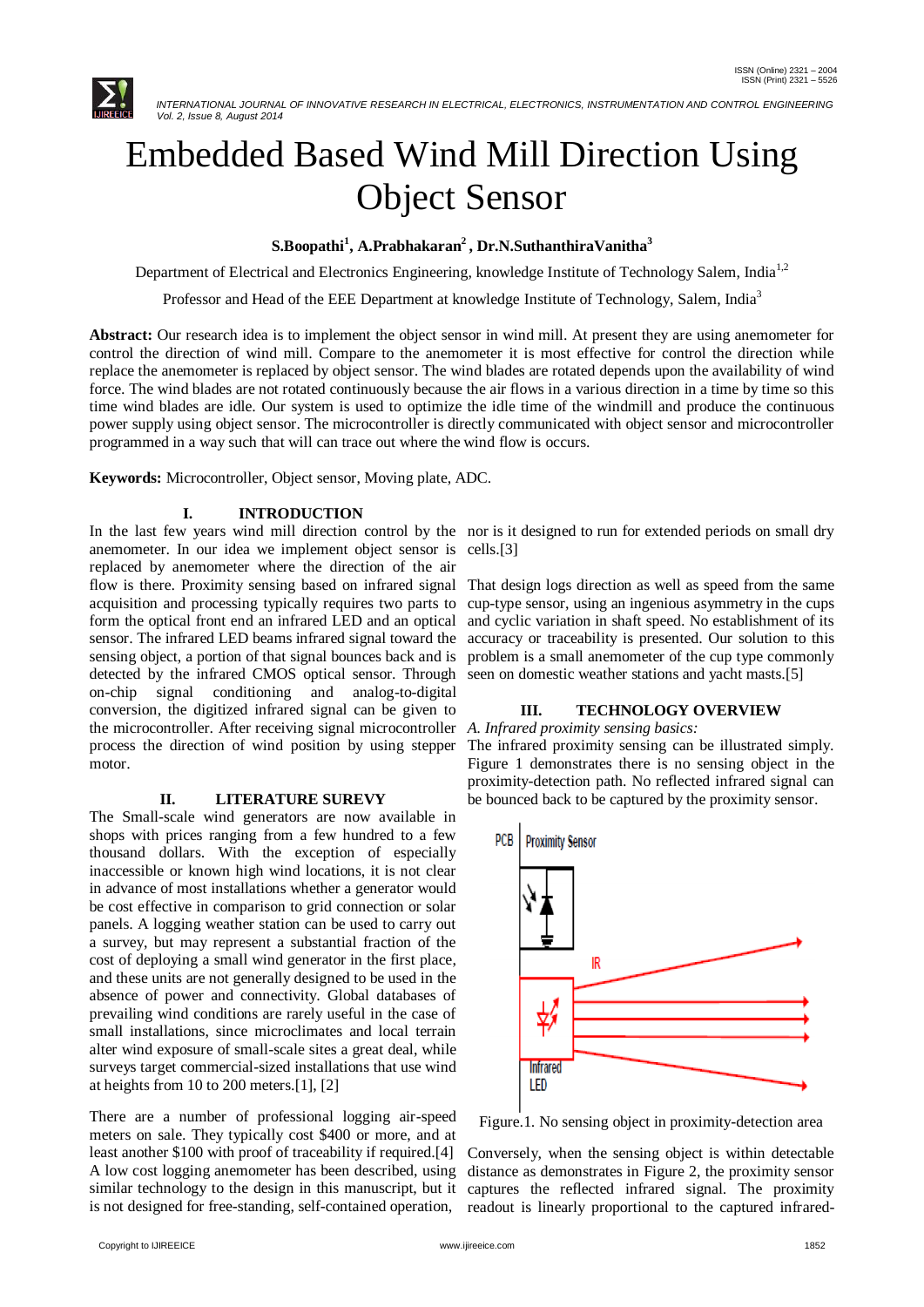

# Embedded Based Wind Mill Direction Using Object Sensor

**S.Boopathi<sup>1</sup> , A.Prabhakaran<sup>2</sup> , Dr.N.SuthanthiraVanitha<sup>3</sup>**

Department of Electrical and Electronics Engineering, knowledge Institute of Technology Salem, India<sup>1,2</sup>

Professor and Head of the EEE Department at knowledge Institute of Technology, Salem, India<sup>3</sup>

**Abstract:** Our research idea is to implement the object sensor in wind mill. At present they are using anemometer for control the direction of wind mill. Compare to the anemometer it is most effective for control the direction while replace the anemometer is replaced by object sensor. The wind blades are rotated depends upon the availability of wind force. The wind blades are not rotated continuously because the air flows in a various direction in a time by time so this time wind blades are idle. Our system is used to optimize the idle time of the windmill and produce the continuous power supply using object sensor. The microcontroller is directly communicated with object sensor and microcontroller programmed in a way such that will can trace out where the wind flow is occurs.

**Keywords:** Microcontroller, Object sensor, Moving plate, ADC.

# **I. INTRODUCTION**

In the last few years wind mill direction control by the nor is it designed to run for extended periods on small dry anemometer. In our idea we implement object sensor is cells.[3] replaced by anemometer where the direction of the air flow is there. Proximity sensing based on infrared signal acquisition and processing typically requires two parts to form the optical front end an infrared LED and an optical sensor. The infrared LED beams infrared signal toward the sensing object, a portion of that signal bounces back and is detected by the infrared CMOS optical sensor. Through on-chip signal conditioning and analog-to-digital conversion, the digitized infrared signal can be given to the microcontroller. After receiving signal microcontroller *A. Infrared proximity sensing basics:* process the direction of wind position by using stepper motor.

#### **II. LITERATURE SUREVY**

The Small-scale wind generators are now available in shops with prices ranging from a few hundred to a few thousand dollars. With the exception of especially inaccessible or known high wind locations, it is not clear in advance of most installations whether a generator would be cost effective in comparison to grid connection or solar panels. A logging weather station can be used to carry out a survey, but may represent a substantial fraction of the cost of deploying a small wind generator in the first place, and these units are not generally designed to be used in the absence of power and connectivity. Global databases of prevailing wind conditions are rarely useful in the case of small installations, since microclimates and local terrain alter wind exposure of small-scale sites a great deal, while surveys target commercial-sized installations that use wind at heights from 10 to 200 meters.[1], [2]

There are a number of professional logging air-speed meters on sale. They typically cost \$400 or more, and at least another \$100 with proof of traceability if required.[4] A low cost logging anemometer has been described, using similar technology to the design in this manuscript, but it is not designed for free-standing, self-contained operation,

That design logs direction as well as speed from the same cup-type sensor, using an ingenious asymmetry in the cups and cyclic variation in shaft speed. No establishment of its accuracy or traceability is presented. Our solution to this problem is a small anemometer of the cup type commonly seen on domestic weather stations and yacht masts.[5]

# **III. TECHNOLOGY OVERVIEW**

The infrared proximity sensing can be illustrated simply. Figure 1 demonstrates there is no sensing object in the proximity-detection path. No reflected infrared signal can be bounced back to be captured by the proximity sensor.



Figure.1. No sensing object in proximity-detection area

Conversely, when the sensing object is within detectable distance as demonstrates in Figure 2, the proximity sensor captures the reflected infrared signal. The proximity readout is linearly proportional to the captured infrared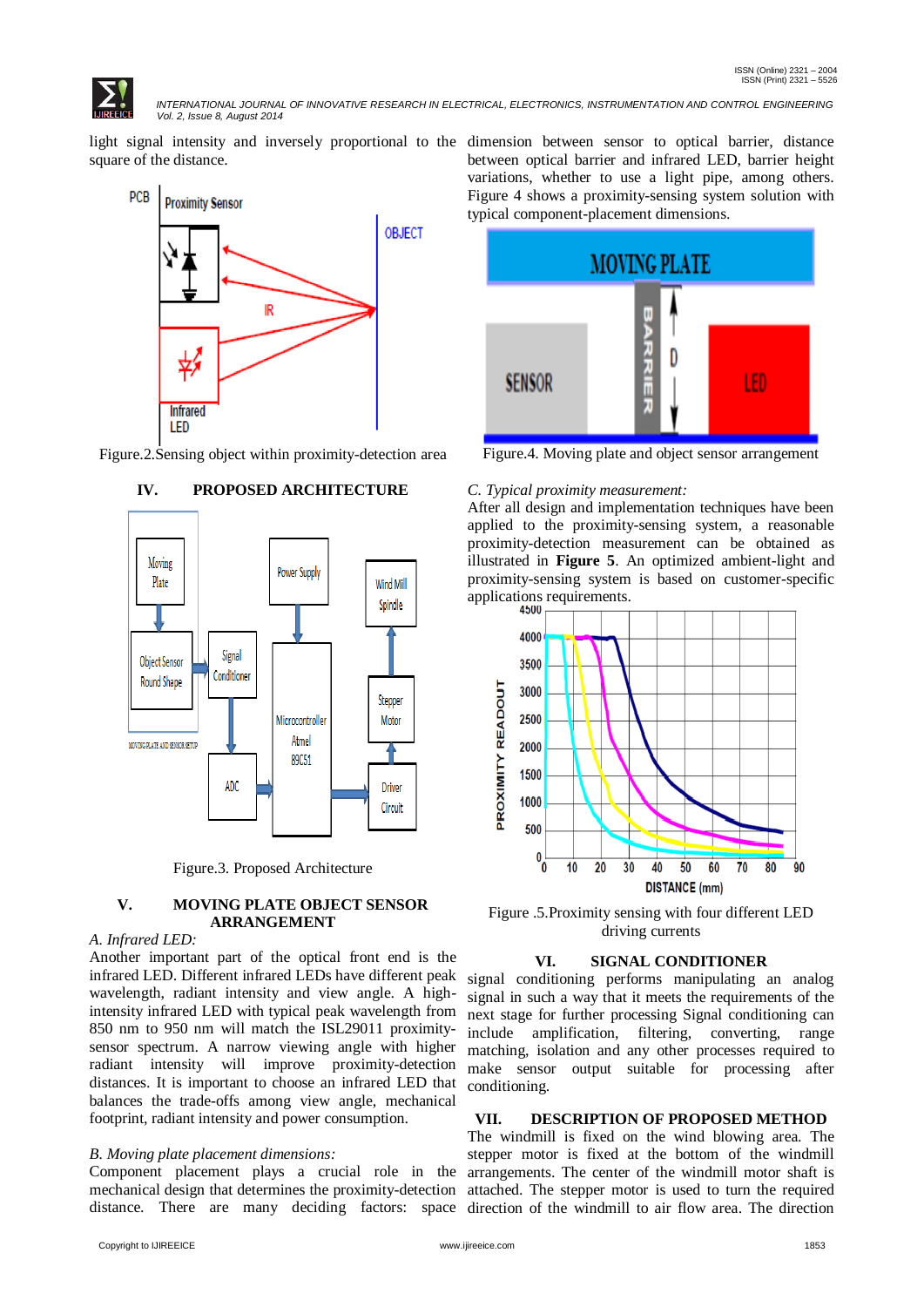*INTERNATIONAL JOURNAL OF INNOVATIVE RESEARCH IN ELECTRICAL, ELECTRONICS, INSTRUMENTATION AND CONTROL ENGINEERING Vol. 2, Issue 8, August 2014*

light signal intensity and inversely proportional to the dimension between sensor to optical barrier, distance square of the distance.



Figure.2.Sensing object within proximity-detection area



# **IV. PROPOSED ARCHITECTURE**

Figure.3. Proposed Architecture

# **V. MOVING PLATE OBJECT SENSOR ARRANGEMENT**

# *A. Infrared LED:*

Another important part of the optical front end is the infrared LED. Different infrared LEDs have different peak wavelength, radiant intensity and view angle. A highintensity infrared LED with typical peak wavelength from 850 nm to 950 nm will match the ISL29011 proximitysensor spectrum. A narrow viewing angle with higher radiant intensity will improve proximity-detection distances. It is important to choose an infrared LED that balances the trade-offs among view angle, mechanical footprint, radiant intensity and power consumption.

# *B. Moving plate placement dimensions:*

Component placement plays a crucial role in the mechanical design that determines the proximity-detection distance. There are many deciding factors: space direction of the windmill to air flow area. The direction

between optical barrier and infrared LED, barrier height variations, whether to use a light pipe, among others. Figure 4 shows a proximity-sensing system solution with typical component-placement dimensions.



Figure.4. Moving plate and object sensor arrangement

#### *C. Typical proximity measurement:*

After all design and implementation techniques have been applied to the proximity-sensing system, a reasonable proximity-detection measurement can be obtained as illustrated in **Figure 5**. An optimized ambient-light and proximity-sensing system is based on customer-specific applications requirements.



Figure .5.Proximity sensing with four different LED driving currents

#### **VI. SIGNAL CONDITIONER**

signal conditioning performs manipulating an analog signal in such a way that it meets the requirements of the next stage for further processing Signal conditioning can include amplification, filtering, converting, range matching, isolation and any other processes required to make sensor output suitable for processing after conditioning.

# **VII. DESCRIPTION OF PROPOSED METHOD**

The windmill is fixed on the wind blowing area. The stepper motor is fixed at the bottom of the windmill arrangements. The center of the windmill motor shaft is attached. The stepper motor is used to turn the required